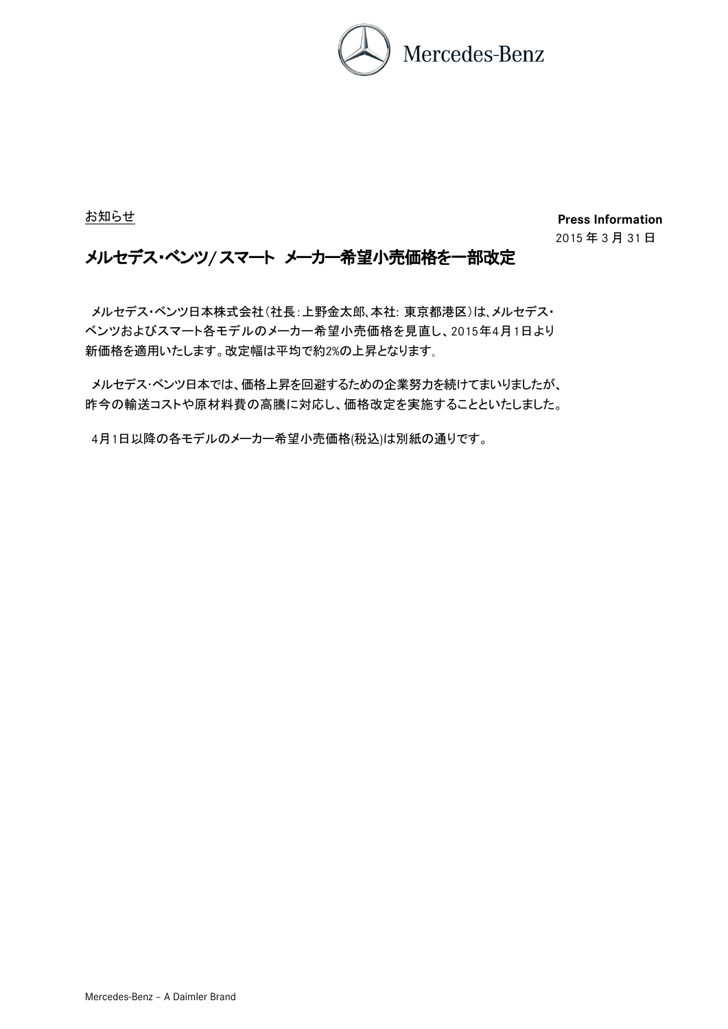

お知らせ

**Press Information** 䡣 2015 年 3 月 31 日

## メルセデス・ベンツ**/** スマート メーカー希望小売価格を一部改定

メルセデス・ベンツ日本株式会社(社長:上野金太郎、本社: 東京都港区)は、メルセデス・ ベンツおよびスマート各モデルのメーカー希望小売価格を見直し、2015年4月1日より 新価格を適用いたします。改定幅は平均で約2%の上昇となります。

メルセデス・ベンツ日本では、価格上昇を回避するための企業努力を続けてまいりましたが、 昨今の輸送コストや原材料費の高騰に対応し、価格改定を実施することといたしました。

4月1日以降の各モデルのメーカー希望小売価格(税込)は別紙の通りです。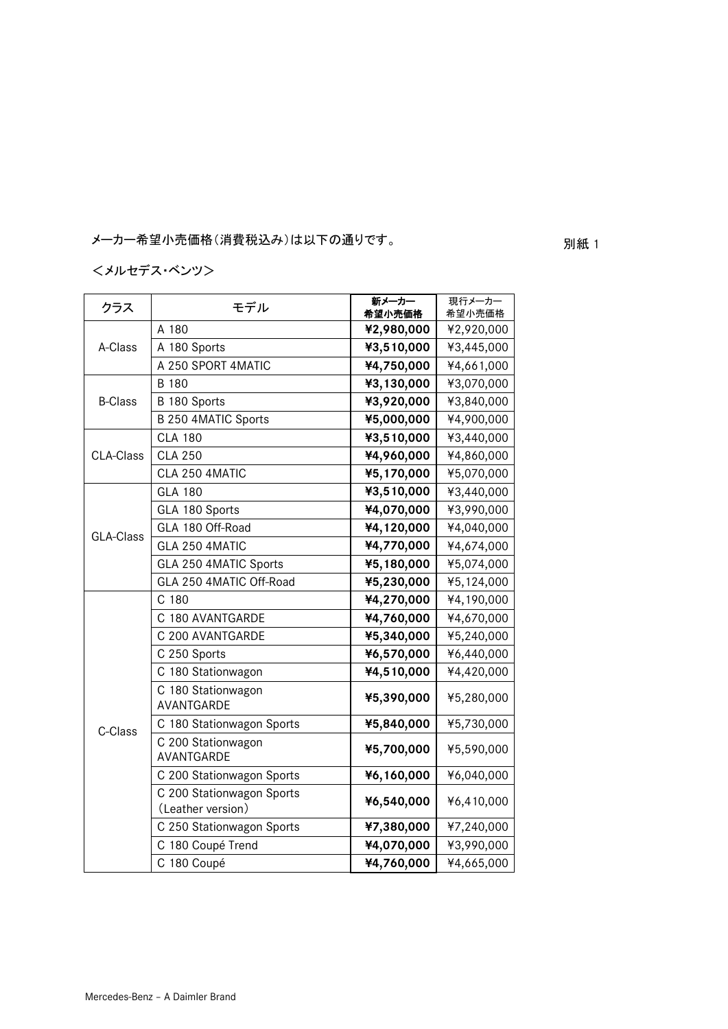メーカー希望小売価格 別紙 1 (消費税込み)は以下の通りです。

# <メルセデス・ベンツ>

| クラス            | モデル                                            | 新メーカー<br>希望小売価格 | 現行メーカー<br>希望小売価格 |
|----------------|------------------------------------------------|-----------------|------------------|
|                | A 180                                          | ¥2,980,000      | ¥2,920,000       |
| A-Class        | A 180 Sports                                   | ¥3,510,000      | ¥3,445,000       |
|                | A 250 SPORT 4MATIC                             | ¥4,750,000      | ¥4,661,000       |
|                | B 180                                          | ¥3,130,000      | ¥3,070,000       |
| <b>B-Class</b> | B 180 Sports                                   | ¥3,920,000      | ¥3,840,000       |
|                | B 250 4MATIC Sports                            | ¥5,000,000      | ¥4,900,000       |
|                | <b>CLA 180</b>                                 | ¥3,510,000      | ¥3,440,000       |
| CLA-Class      | <b>CLA 250</b>                                 | ¥4,960,000      | ¥4,860,000       |
|                | CLA 250 4MATIC                                 | ¥5,170,000      | ¥5,070,000       |
|                | <b>GLA 180</b>                                 | ¥3,510,000      | ¥3,440,000       |
|                | GLA 180 Sports                                 | ¥4,070,000      | ¥3,990,000       |
| GLA-Class      | GLA 180 Off-Road                               | ¥4,120,000      | ¥4,040,000       |
|                | GLA 250 4MATIC                                 | ¥4,770,000      | ¥4,674,000       |
|                | GLA 250 4MATIC Sports                          | ¥5,180,000      | ¥5,074,000       |
|                | GLA 250 4MATIC Off-Road                        | ¥5,230,000      | ¥5,124,000       |
|                | C <sub>180</sub>                               | ¥4,270,000      | ¥4,190,000       |
|                | C 180 AVANTGARDE                               | ¥4,760,000      | ¥4,670,000       |
|                | C 200 AVANTGARDE                               | ¥5,340,000      | ¥5,240,000       |
|                | C 250 Sports                                   | ¥6,570,000      | ¥6,440,000       |
|                | C 180 Stationwagon                             | ¥4,510,000      | ¥4,420,000       |
| C-Class        | C 180 Stationwagon<br>AVANTGARDE               | ¥5,390,000      | ¥5,280,000       |
|                | C 180 Stationwagon Sports                      | ¥5,840,000      | ¥5,730,000       |
|                | C 200 Stationwagon<br>AVANTGARDE               | ¥5,700,000      | ¥5,590,000       |
|                | C 200 Stationwagon Sports                      | ¥6,160,000      | ¥6,040,000       |
|                | C 200 Stationwagon Sports<br>(Leather version) | ¥6,540,000      | ¥6,410,000       |
|                | C 250 Stationwagon Sports                      | ¥7,380,000      | ¥7,240,000       |
|                | C 180 Coupé Trend                              | ¥4,070,000      | ¥3,990,000       |
|                | C 180 Coupé                                    | ¥4,760,000      | ¥4,665,000       |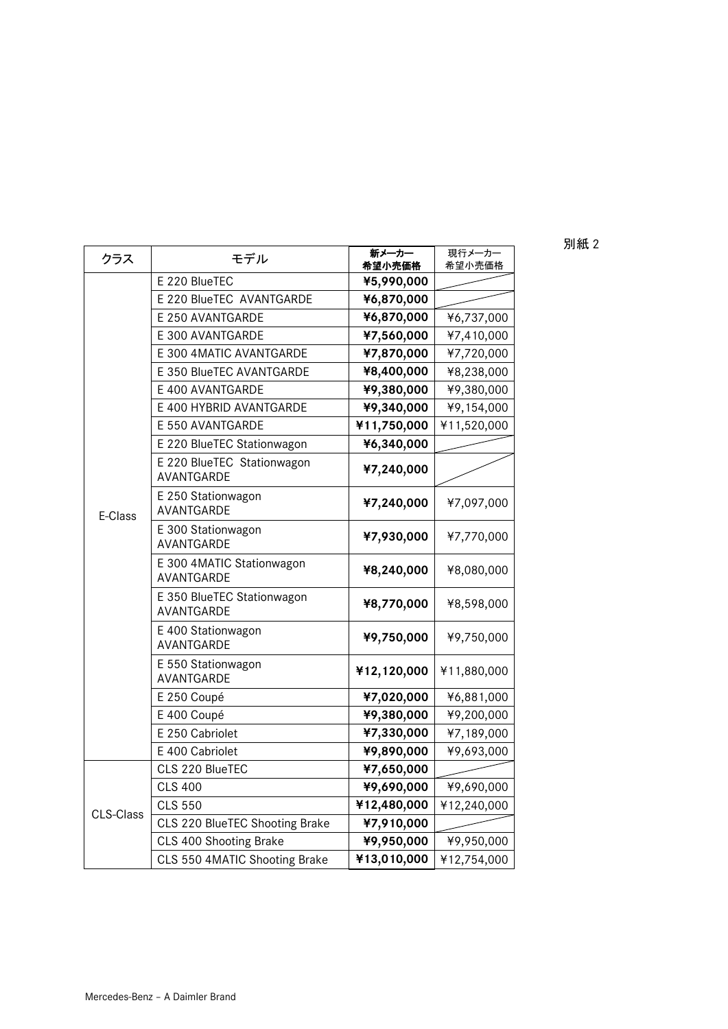| 別紙 2 |  |
|------|--|

| クラス       | モデル                                      | 新メーカー<br>希望小売価格 | 現行メーカー<br>希望小売価格 |
|-----------|------------------------------------------|-----------------|------------------|
|           | E 220 BlueTEC                            | ¥5,990,000      |                  |
|           | E 220 BlueTEC AVANTGARDE                 | ¥6,870,000      |                  |
|           | E 250 AVANTGARDE                         | ¥6,870,000      | ¥6,737,000       |
|           | E 300 AVANTGARDE                         | ¥7,560,000      | ¥7,410,000       |
|           | E 300 4MATIC AVANTGARDE                  | ¥7,870,000      | ¥7,720,000       |
|           | E 350 BlueTEC AVANTGARDE                 | ¥8,400,000      | ¥8,238,000       |
|           | E 400 AVANTGARDE                         | ¥9,380,000      | ¥9,380,000       |
|           | E 400 HYBRID AVANTGARDE                  | ¥9,340,000      | ¥9,154,000       |
|           | E 550 AVANTGARDE                         | ¥11,750,000     | ¥11,520,000      |
|           | E 220 BlueTEC Stationwagon               | ¥6,340,000      |                  |
|           | E 220 BlueTEC Stationwagon<br>AVANTGARDE | ¥7,240,000      |                  |
| E-Class   | E 250 Stationwagon<br>AVANTGARDE         | ¥7,240,000      | ¥7,097,000       |
|           | E 300 Stationwagon<br>AVANTGARDE         | ¥7,930,000      | ¥7,770,000       |
|           | E 300 4MATIC Stationwagon<br>AVANTGARDE  | ¥8,240,000      | ¥8,080,000       |
|           | E 350 BlueTEC Stationwagon<br>AVANTGARDE | ¥8,770,000      | ¥8,598,000       |
|           | E 400 Stationwagon<br>AVANTGARDE         | ¥9,750,000      | ¥9,750,000       |
|           | E 550 Stationwagon<br>AVANTGARDE         | ¥12,120,000     | ¥11,880,000      |
|           | E 250 Coupé                              | ¥7,020,000      | ¥6,881,000       |
|           | E 400 Coupé                              | ¥9,380,000      | ¥9,200,000       |
|           | E 250 Cabriolet                          | ¥7,330,000      | ¥7,189,000       |
|           | E 400 Cabriolet                          | ¥9,890,000      | ¥9,693,000       |
| CLS-Class | CLS 220 BlueTEC                          | ¥7,650,000      |                  |
|           | <b>CLS 400</b>                           | ¥9,690,000      | ¥9,690,000       |
|           | <b>CLS 550</b>                           | ¥12,480,000     | ¥12,240,000      |
|           | CLS 220 BlueTEC Shooting Brake           | ¥7,910,000      |                  |
|           | CLS 400 Shooting Brake                   | ¥9,950,000      | ¥9,950,000       |
|           | CLS 550 4MATIC Shooting Brake            | ¥13,010,000     | ¥12,754,000      |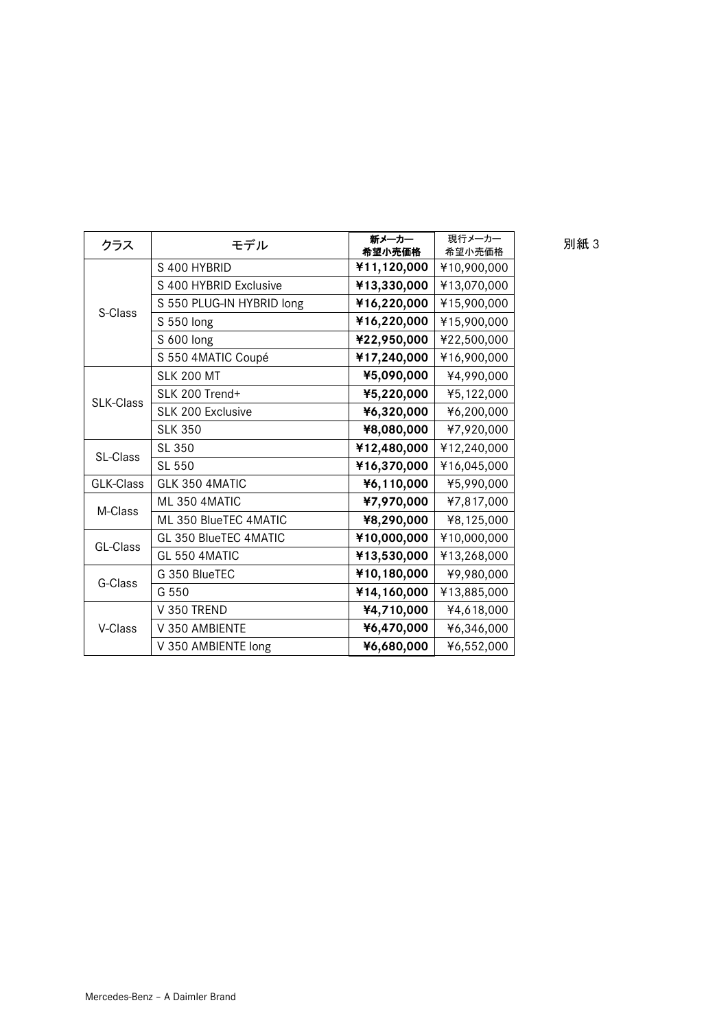| クラス       | モデル                       | 新メーカー<br>希望小売価格 | 現行メーカー<br>希望小売価格 | 別紙 3 |
|-----------|---------------------------|-----------------|------------------|------|
|           | S 400 HYBRID              | ¥11,120,000     | ¥10,900,000      |      |
| S-Class   | S 400 HYBRID Exclusive    | ¥13,330,000     | ¥13,070,000      |      |
|           | S 550 PLUG-IN HYBRID long | ¥16,220,000     | ¥15,900,000      |      |
|           | S 550 long                | ¥16,220,000     | ¥15,900,000      |      |
|           | S 600 long                | ¥22,950,000     | ¥22,500,000      |      |
|           | S 550 4MATIC Coupé        | ¥17,240,000     | ¥16,900,000      |      |
|           | <b>SLK 200 MT</b>         | ¥5,090,000      | ¥4,990,000       |      |
| SLK-Class | SLK 200 Trend+            | ¥5,220,000      | ¥5,122,000       |      |
|           | SLK 200 Exclusive         | ¥6,320,000      | ¥6,200,000       |      |
|           | <b>SLK 350</b>            | ¥8,080,000      | ¥7,920,000       |      |
| SL-Class  | SL 350                    | ¥12,480,000     | ¥12,240,000      |      |
|           | SL 550                    | ¥16,370,000     | ¥16,045,000      |      |
| GLK-Class | GLK 350 4MATIC            | ¥6,110,000      | ¥5,990,000       |      |
| M-Class   | ML 350 4MATIC             | ¥7,970,000      | ¥7,817,000       |      |
|           | ML 350 BlueTEC 4MATIC     | ¥8,290,000      | ¥8,125,000       |      |
| GL-Class  | GL 350 BlueTEC 4MATIC     | ¥10,000,000     | ¥10,000,000      |      |
|           | GL 550 4MATIC             | ¥13,530,000     | ¥13,268,000      |      |
| G-Class   | G 350 BlueTEC             | ¥10,180,000     | ¥9,980,000       |      |
|           | G 550                     | ¥14,160,000     | ¥13,885,000      |      |
| V-Class   | V 350 TREND               | ¥4,710,000      | ¥4,618,000       |      |
|           | V 350 AMBIENTE            | ¥6,470,000      | ¥6,346,000       |      |
|           | V 350 AMBIENTE long       | ¥6,680,000      | ¥6,552,000       |      |